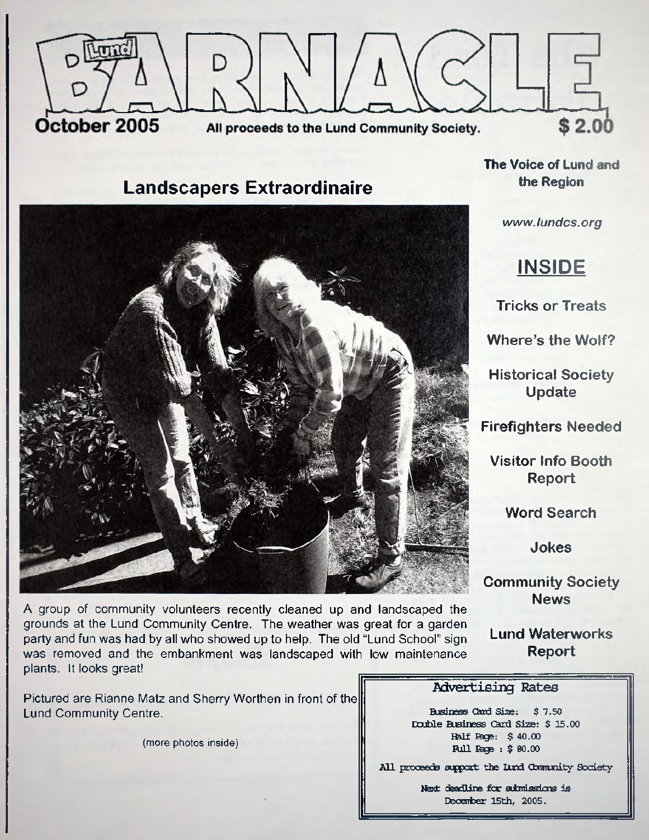

## **Landscapers Extraordinaire**



A group of community volunteers recently cleaned up and landscaped the grounds at the Lund Community Centre. The weather was great for a garden party and fun was had by all who showed up to help. The old "Lund School" sign was removed and the embankment was landscaped with low maintenance plants. It looks great!

Pictured are Rianne Matz and Sherry Worthen in front of the Lund Community Centre.

**(more photos inside)**

**The Voice of Lund and the Region**

*www. lundcs. org*

# **INSIDE**

**Tricks or Treats**

**Where's the Wolf?**

**Historical Society Update**

**Firefighters Needed**

**Visitor Info Booth Report**

**Word Search**

**Jokes**

**Community Society News**

**Lund Waterworks Report**

#### Advertising Rates

**Business Card Size: \$ 7.50 Double Business Card Size: \$ 15.00 Half Page: \$ 40.00 Rull Rage : \$ 80.00** 

**All proceeds support the Lund Gbmiunity Society**

**Next deadline far sdardsskns is Deoeirber 15th, 2005.**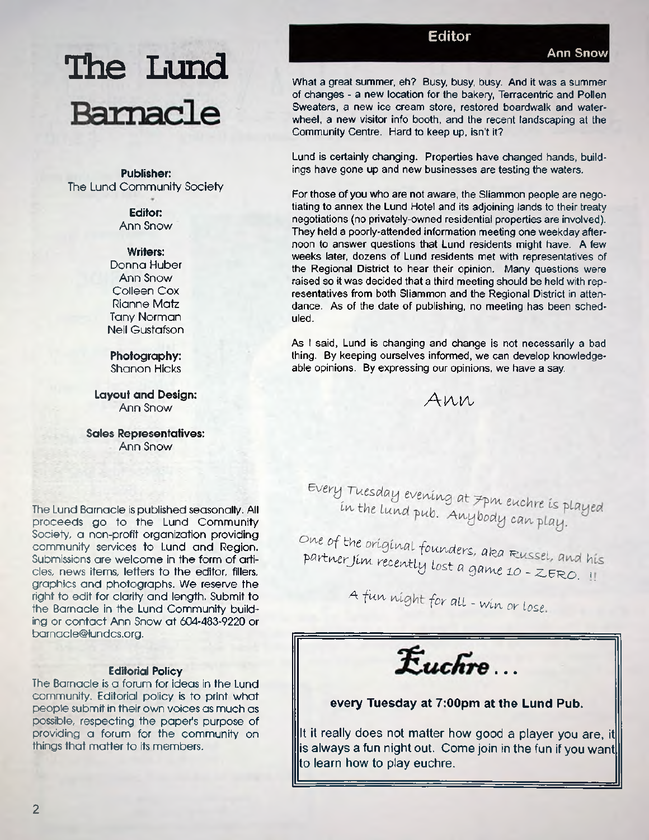# **The Lund** Barnacle

**Publisher:** The Lund Community Society

> **Editor:** Ann Snow

> > **Writers:**

Donna Huber Ann Snow Colleen Cox Rianne Matz Tany Norman Neil Gustafson

**Photography:** Shanon Hicks

**Layout and Design:** Ann Snow

**Sales Representatives:** Ann Snow

The Lund Barnacle is published seasonally. All proceeds go to the Lund Community Society, a non-profit organization providing community services to Lund and Region. Submissions are welcome in the form of articles, news items, letters to the editor, fillers, graphics and photographs. We reserve the right to edit for clarity and length. Submit to the Barnacle in the Lund Community building or contact Ann Snow at 604-483-9220 or [barnacle@lundcs.org.](mailto:barnacle@lundcs.org)

#### **Editorial Policy**

The Barnacle is a forum for ideas in the Lund community. Editorial policy is to print what people submit in their own voices as much as possible, respecting the paper's purpose of providing a forum for the community on things that matter to its members.

**Editor**

What a great summer, eh? Busy, busy, busy. And it was a summer of changes - a new location for the bakery, Terracentric and Pollen Sweaters, a new ice cream store, restored boardwalk and waterwheel, a new visitor info booth, and the recent landscaping at the Community Centre. Hard to keep up, isn't it?

Lund is certainly changing. Properties have changed hands, buildings have gone up and new businesses are testing the waters.

For those of you who are not aware, the Sliammon people are negotiating to annex the Lund Hotel and its adjoining lands to their treaty negotiations (no privately-owned residential properties are involved). They held a poorly-attended information meeting one weekday afternoon to answer questions that Lund residents might have. A few weeks later, dozens of Lund residents met with representatives of the Regional District to hear their opinion. Many questions were raised so it was decided that a third meeting should be held with representatives from both Sliammon and the Regional District in attendance, As of the date of publishing, no meeting has been scheduled.

As I said, Lund is changing and change is not necessarily a bad thing. By keeping ourselves informed, we can develop knowledgeable opinions. By expressing our opinions, we have a say

Ann

Every Tuesday evening at 7pm euchre is played<br>in the lund pub. Anybody can played in the lund pub. Anybody can play.

One of the original founders, aka Russel, and his partner Jim recently lost a game 10 - ZERO. II

A fun night for all - win or lose.

 $E$ uchre

#### every Tuesday at 7:00pm at the Lund Pub.

It it really does not matter how good a player you are, it  $\parallel$ is always a fun night out. Come join in the fun if you want $\parallel$ to learn how to play euchre.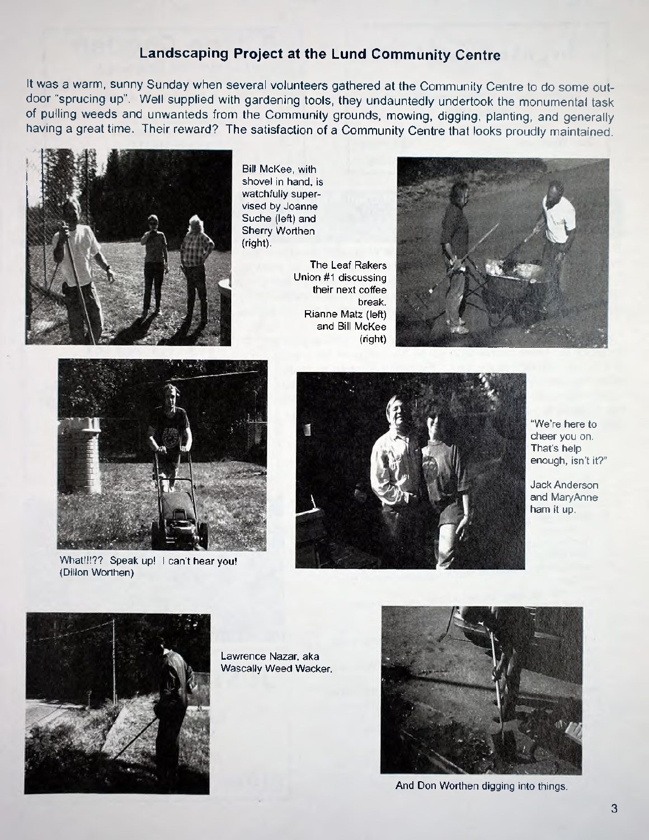### **Landscaping Project at the Lund Community Centre**

It was a warm, sunny Sunday when several volunteers gathered at the Community Centre to do some outdoor "sprucing up". Well supplied with gardening tools, they undauntedly undertook the monumental task of pulling weeds and unwanteds from the Community grounds, mowing, digging, planting, and generally having a great time. Their reward? The satisfaction of a Community Centre that looks proudly maintained.



Bill McKee, with shovel in hand, is watchfully supervised by Joanne Suche (left) and Sherry Worthen (right).

The Leaf Rakers Union #1 discussing their next coffee break. Rianne Matz (left) and Bill McKee (right)





What!!!?? Speak up! I can't hear you! (Dillon Worthen)



"We're here to cheer you on. That's help enough, isn't it?"

Jack Anderson and MaryAnne ham it up.



Lawrence Nazar, aka Wascally Weed Wacker.



And Don Worthen digging into things.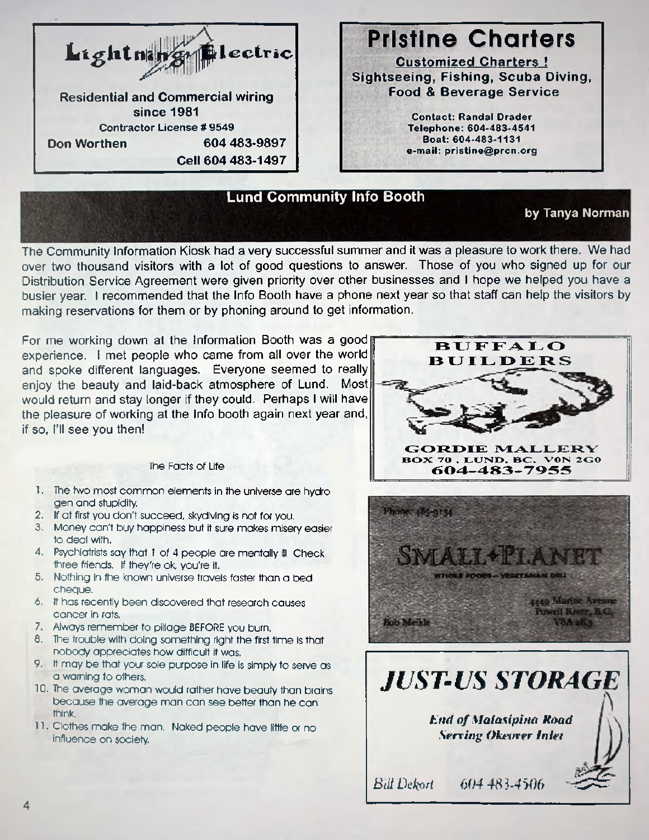

**Sightseeing, Fishing, Scuba Diving,**

**e-mail: [pristine@prcn.org](mailto:pristine@prcn.org)**

#### **Lund Community Info Booth**

#### **by Tanya Norman**

The Community Information Kiosk had a very successful summer and it was a pleasure to work there. We had over two thousand visitors with a lot of good questions to answer. Those of you who signed up for our Distribution Service Agreement were given priority over other businesses and I hope we helped you have a busier year. I recommended that the Info Booth have a phone next year so that staff can help the visitors by making reservations for them or by phoning around to get information.

For me working down at the Information Booth was a good experience. I met people who came from all over the world and spoke different languages. Everyone seemed to really enjoy the beauty and laid-back atmosphere of Lund. Most would return and stay longer if they could. Perhaps I will have the pleasure of working at the Info booth again next year and, if so, I'll see you then!

#### The Facts of Life

- 1. The two most common elements in the universe are hydro gen and stupidity.
- 2. If at first you don't succeed, skydiving is not for you.
- 3. Money can't buy happiness but it sure makes misery easier to deal with.
- 4. Psychiatrists say that 1 of 4 people are mentally ill Check three friends. If they're ok, you're it.
- 5. Nothing in the known universe travels faster than a bed cheque.
- 6. it has recently been discovered that research causes cancer in rats.
- 7. Always remember to pillage BEFORE you burn.
- 8. The trouble with doing something right the first time is that nobody appreciates how difficult it was.
- 9. it may be that your sole purpose in life is simply to serve as a warning to others.
- 10. The average woman would rather have beauty than brains because the average man can see better than he can think.
- 11. Clothes make the man. Naked people have little or no influence on society.





*End of Malasipirta Road Serving Okeover Inlet* 

*Bill Dekori 604 4\$ 1-4506* ^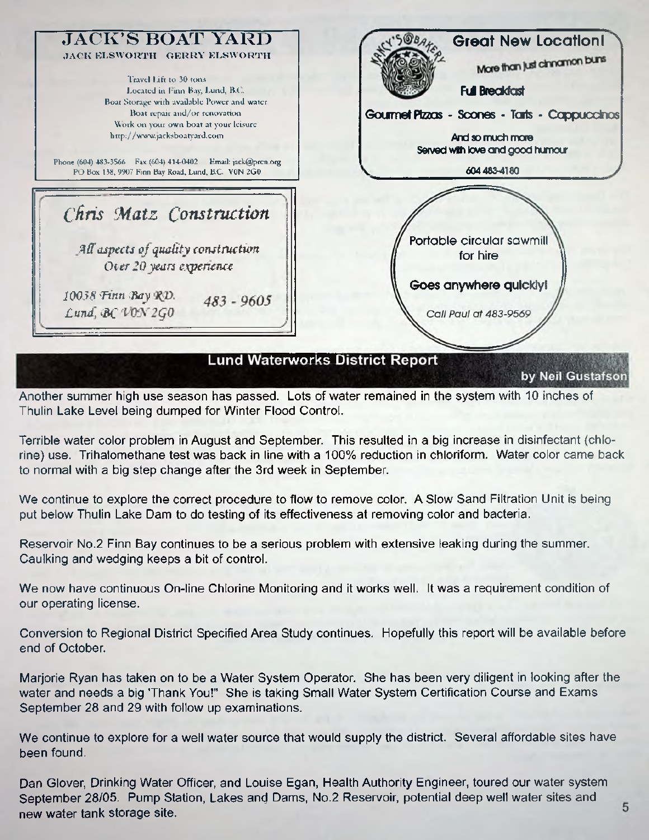

Another summer high use season has passed. Lots of water remained in the system with 10 inches of Thulin Lake Level being dumped for Winter Flood Control.

Terrible water color problem in August and September. This resulted in a big increase in disinfectant (chlorine) use. Trihalomethane test was back in line with a 100% reduction in chloriform. Water color came back to normal with a big step change after the 3rd week in September.

We continue to explore the correct procedure to flow to remove color. A Slow Sand Filtration Unit is being put below Thulin Lake Dam to do testing of its effectiveness at removing color and bacteria.

Reservoir No.2 Finn Bay continues to be a serious problem with extensive leaking during the summer. Caulking and wedging keeps a bit of control.

We now have continuous On-line Chlorine Monitoring and it works well. It was a requirement condition of our operating license.

Conversion to Regional District Specified Area Study continues. Hopefully this report will be available before end of October.

Marjorie Ryan has taken on to be a Water System Operator. She has been very diligent in looking after the water and needs a big Thank You!" She is taking Small Water System Certification Course and Exams September 28 and 29 with follow up examinations.

We continue to explore for a well water source that would supply the district. Several affordable sites have been found.

Dan Glover, Drinking Water Officer, and Louise Egan, Health Authority Engineer, toured our water system September 28/05. Pump Station, Lakes and Dams, No.2 Reservoir, potential deep well water sites and new water tank storage site.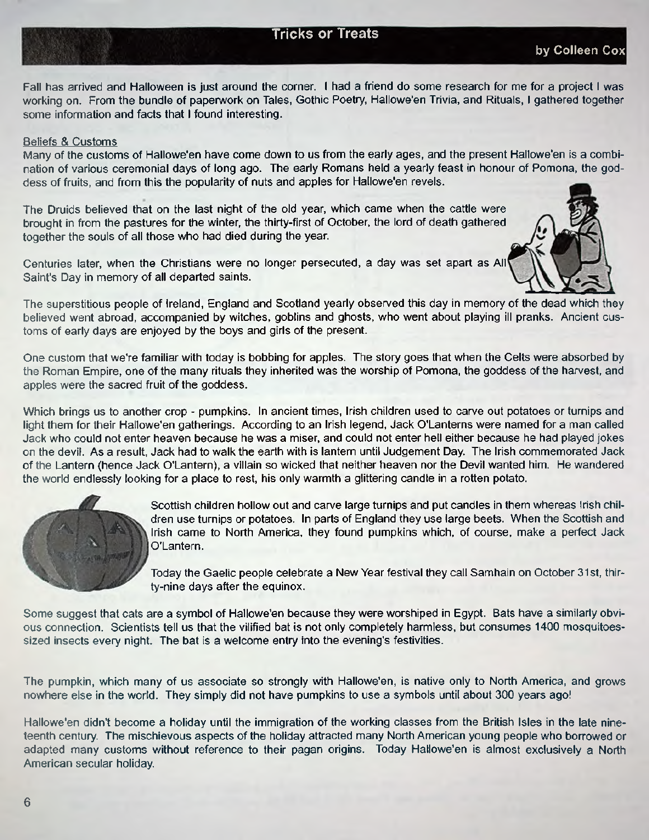#### **Tricks or Treats**

Fall has arrived and Halloween is just around the corner. I had a friend do some research for me for a project I was working on. From the bundle of paperwork on Tales, Gothic Poetry, Hallowe'en Trivia, and Rituals, I gathered together some information and facts that I found interesting.

#### Beliefs & Customs

Many of the customs of Hallowe'en have come down to us from the early ages, and the present Hallowe'en is a combination of various ceremonial days of long ago. The early Romans held a yearly feast in honour of Pomona, the goddess of fruits, and from this the popularity of nuts and apples for Hallowe'en revels.

The Druids believed that on the last night of the old year, which came when the cattle were brought in from the pastures for the winter, the thirty-first of October, the lord of death gathered together the souls of all those who had died during the year

Centuries later, when the Christians were no longer persecuted, a day was set apart as All Saint's Day in memory of all departed saints.

The superstitious people of Ireland, England and Scotland yearly observed this day in memory of the dead which they believed went abroad, accompanied by witches, goblins and ghosts, who went about playing ill pranks. Ancient customs of early days are enjoyed by the boys and girls of the present.

One custom that we're familiar with today is bobbing for apples. The story goes that when the Celts were absorbed by the Roman Empire, one of the many rituals they inherited was the worship of Pomona, the goddess of the harvest, and apples were the sacred fruit of the goddess.

Which brings us to another crop - pumpkins. In ancient times, Irish children used to carve out potatoes or turnips and light them for their Hallowe'en gatherings. According to an Irish legend, Jack O'Lanterns were named for a man called Jack who could not enter heaven because he was a miser, and could not enter hell either because he had played jokes on the devil. As a result, Jack had to walk the earth with is lantern until Judgement Day The Irish commemorated Jack of the Lantern (hence Jack O'Lantern), a villain so wicked that neither heaven nor the Devil wanted him. He wandered the world endlessly looking for a place to rest, his only warmth a glittering candle in a rotten potato.



Scottish children hollow out and carve large turnips and put candles in them whereas Irish children use turnips or potatoes. In parts of England they use large beets. When the Scottish and Irish came to North America, they found pumpkins which, of course, make a perfect Jack O'Lantern.

Today the Gaelic people celebrate a New Year festival they call Samhain on October 31st, thirty-nine days after the equinox.

Some suggest that cats are a symbol of Hallowe'en because they were worshiped in Egypt. Bats have a similarly obvious connection. Scientists tell us that the vilified bat is not only completely harmless, but consumes 1400 mosquitoessized insects every night. The bat is a welcome entry into the evening's festivities.

The pumpkin, which many of us associate so strongly with Hallowe'en, is native only to North America, and grows nowhere else in the world. They simply did not have pumpkins to use a symbols until about 300 years ago!

Hallowe'en didn't become a holiday until the immigration of the working classes from the British Isles in the late nineteenth century. The mischievous aspects of the holiday attracted many North American young people who borrowed or adapted many customs without reference to their pagan origins. Today Hallowe'en is almost exclusively a North American secular holiday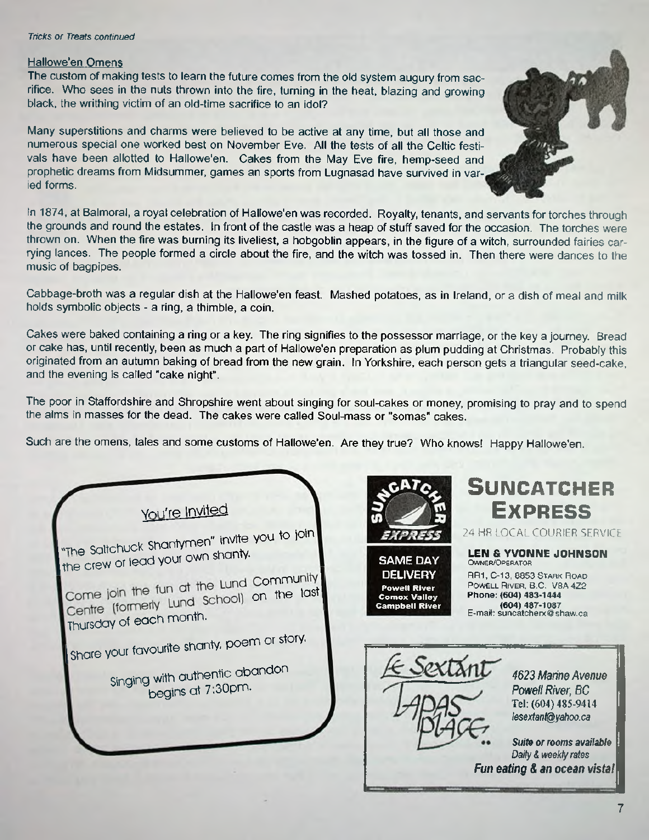#### *Tricks or Treats continued*

#### Hallowe'en Omens

The custom of making tests to learn the future comes from the old system augury from sacrifice. Who sees in the nuts thrown into the fire, turning in the heat, blazing and growing black, the writhing victim of an old-time sacrifice to an idol?

Many superstitions and charms were believed to be active at any time, but all those and numerous special one worked best on November Eve. All the tests of all the Celtic festivals have been allotted to Hallowe'en. Cakes from the May Eve fire, hemp-seed and prophetic dreams from Midsummer, games an sports from Lugnasad have survived in varied forms.

In 1874, at Balmoral, a royal celebration of Hallowe'en was recorded. Royalty, tenants, and servants for torches through the grounds and round the estates. In front of the castle was a heap of stuff saved for the occasion. The torches were thrown on. When the fire was burning its liveliest, a hobgoblin appears, in the figure of a witch, surrounded fairies carrying lances. The people formed a circle about the fire, and the witch was tossed in. Then there were dances to the music of bagpipes.

Cabbage-broth was a regular dish at the Hallowe'en feast. Mashed potatoes, as in Ireland, or a dish of meal and milk holds symbolic objects - a ring, a thimble, a coin.

Cakes were baked containing a ring or a key. The ring signifies to the possessor marriage, or the key a journey. Bread or cake has, until recently, been as much a part of Hallowe'en preparation as plum pudding at Christmas. Probably this originated from an autumn baking of bread from the new grain. In Yorkshire, each person gets a triangular seed-cake, and the evening is called "cake night".

The poor in Staffordshire and Shropshire went about singing for soul-cakes or money, promising to pray and to spend the alms in masses for the dead. The cakes were called Soul-mass or "somas" cakes.

Such are the omens, tales and some customs of Hallowe'en. Are they true? Who knows! Happy Hallowe'en.

You're Invited. "The Saltchuck Shantymen" invite you to join **[the crew or lead your own shanty.** Come join the fun at the Lund Community<br>Centre (formerly Lund School) on the last Thursday of each month. Share your favourite shanty, poem or story. Singing with authentic abandon **begins at 7.30pm. SAME DAY DELIVERY Powell River Comox Valley** Cam pbell River



# **SUNCATCHER Ex p r e s s**

**2 4 HR LOCAL COURIER SERVICE**

**LEN & YVONNE JOHNSON** OWNER/OPERATOR RR1, C-13, 8853 STARK ROAD POWELL RIVER, B.C. V8A 4Z2 **Phone: (604) 483-1444**

**(604) 487-1087** E-mail: [suncatcherx@shaw.ca](mailto:suncatcherx@shaw.ca)

> *Powell River, BC* **Tel: (604) 485-9414** *[lesextan1@yahoo.ca](mailto:lesextan1@yahoo.ca) Suita or rooms available Daily & weekly rates*

*4623 Marine Avenue*

*Fun eating & an ocean vista!*

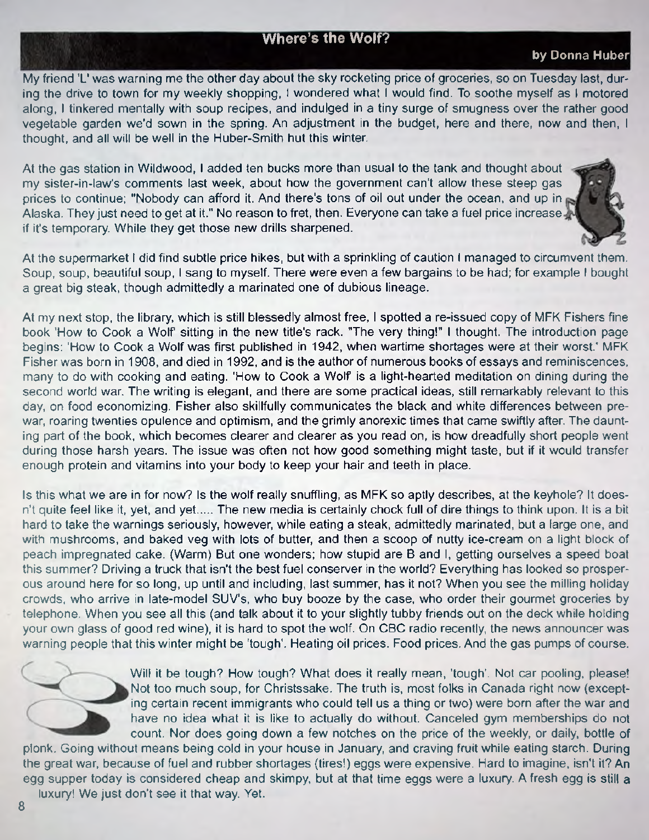#### **Where's the Wolf?**

#### **by Donna Huber**

My friend 'L' was warning me the other day about the sky rocketing price of groceries, so on Tuesday last, during the drive to town for my weekly shopping, I wondered what I would find. To soothe myself as I motored along, I tinkered mentally with soup recipes, and indulged in a tiny surge of smugness over the rather good vegetable garden we'd sown in the spring. An adjustment in the budget, here and there, now and then, I thought, and all will be well in the Huber-Smith hut this winter.

At the gas station in Wildwood, I added ten bucks more than usual to the tank and thought about my sister-in-law's comments last week, about how the government can't allow these steep gas prices to continue; "Nobody can afford it. And there's tons of oil out under the ocean, and up in Alaska. They just need to get at it." No reason to fret, then. Everyone can take a fuel price increase. if it's temporary. While they get those new drills sharpened.

At the supermarket I did find subtle price hikes, but with a sprinkling of caution I managed to circumvent them. Soup, soup, beautiful soup, I sang to myself. There were even a few bargains to be had; for example I bought a great big steak, though admittedly a marinated one of dubious lineage.

At my next stop, the library, which is still blessedly almost free, I spotted a re-issued copy of MFK Fishers fine book 'How to Cook a Wolf' sitting in the new title's rack. "The very thing!" I thought. The introduction page begins: 'How to Cook a Wolf was first published in 1942, when wartime shortages were at their worst.' MFK Fisher was born in 1908, and died in 1992, and is the author of numerous books of essays and reminiscences, many to do with cooking and eating. 'How to Cook a Wolf' is a light-hearted meditation on dining during the second world war. The writing is elegant, and there are some practical ideas, still remarkably relevant to this day, on food economizing. Fisher also skillfully communicates the black and white differences between prewar, roaring twenties opulence and optimism, and the grimly anorexic times that came swiftly after. The daunting part of the book, which becomes clearer and clearer as you read on, is how dreadfully short people went during those harsh years. The issue was often not how good something might taste, but if it would transfer enough protein and vitamins into your body to keep your hair and teeth in place.

Is this what we are in for now? Is the wolf really snuffling, as MFK so aptly describes, at the keyhole? It doesn't quite feel like it, yet, and yet..... The new media is certainly chock full of dire things to think upon. It is a bit hard to take the warnings seriously, however, while eating a steak, admittedly marinated, but a large one, and with mushrooms, and baked veg with lots of butter, and then a scoop of nutty ice-cream on a light block of peach impregnated cake. (Warm) But one wonders; how stupid are B and I, getting ourselves a speed boat this summer? Driving a truck that isn't the best fuel conserver in the world? Everything has looked so prosperous around here for so long, up until and including, last summer, has it not? When you see the milling holiday crowds, who arrive in late-model SUV's, who buy booze by the case, who order their gourmet groceries by telephone. When you see all this (and talk about it to your slightly tubby friends out on the deck while holding your own glass of good red wine), it is hard to spot the wolf. On CBC radio recently, the news announcer was warning people that this winter might be 'tough'. Heating oil prices. Food prices. And the gas pumps of course.



Will it be tough? How tough? What does it really mean, 'tough'. Not car pooling, please! Not too much soup, for Christssake. The truth is, most folks in Canada right now (excepting certain recent immigrants who could tell us a thing or two) were bom after the war and have no idea what it is like to actually do without. Canceled gym memberships do not count. Nor does going down a few notches on the price of the weekly, or daily, bottle of

plonk. Going without means being cold in your house in January, and craving fruit while eating starch. During the great war, because of fuel and rubber shortages (tires!) eggs were expensive. Hard to imagine, isn't it? An egg supper today is considered cheap and skimpy, but at that time eggs were a luxury. A fresh egg is still a luxury! We just don't see it that way. Yet.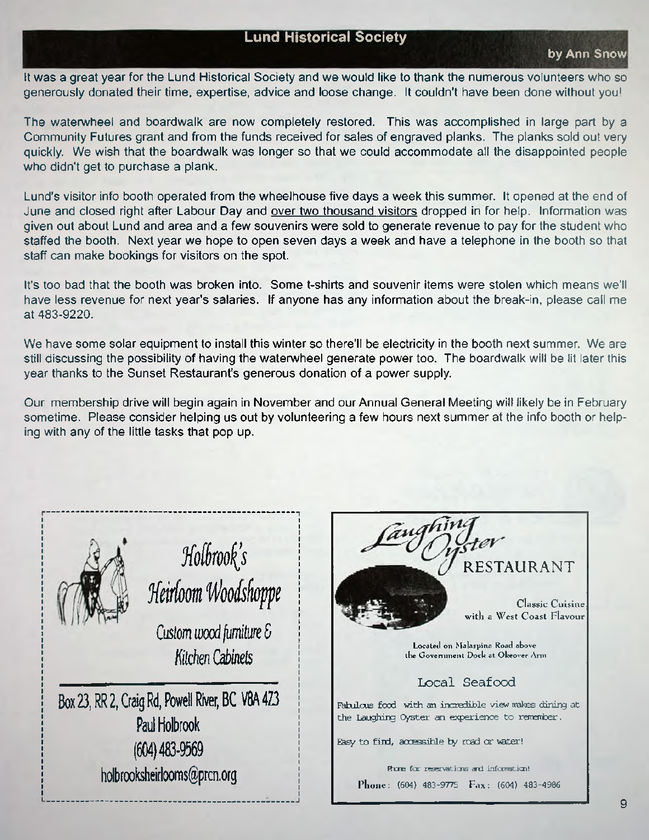#### **Lund Historical Society**

It was a great year for the Lund Historical Society and we would like to thank the numerous volunteers who so generously donated their time, expertise, advice and loose change. It couldn't have been done without you!

The waterwheel and boardwalk are now completely restored. This was accomplished in large part by a Community Futures grant and from the funds received for sales of engraved planks. The planks sold out very quickly. We wish that the boardwalk was longer so that we could accommodate all the disappointed people who didn't get to purchase a plank.

Lund's visitor info booth operated from the wheelhouse five days a week this summer. It opened at the end of June and closed right after Labour Day and over two thousand visitors dropped in for help. Information was given out about Lund and area and a few souvenirs were sold to generate revenue to pay for the student who staffed the booth. Next year we hope to open seven days a week and have a telephone in the booth so that staff can make bookings for visitors on the spot.

It's too bad that the booth was broken into. Some t-shirts and souvenir items were stolen which means we'll have less revenue for next year's salaries. If anyone has any information about the break-in, please call me at 483-9220,

We have some solar equipment to install this winter so there'll be electricity in the booth next summer. We are still discussing the possibility of having the waterwheel generate power too. The boardwalk will be lit later this year thanks to the Sunset Restaurant's generous donation of a power supply.

Our membership drive will begin again in November and our Annual General Meeting will likely be in February sometime. Please consider helping us out by volunteering a few hours next summer at the info booth or helping with any of the little tasks that pop up.



 $Molbrook's$ *Heirloom Woodshoppe Custom wood furniture &*

*Kitchen Cabinets*

Box 23, RR 2, Craig Rd, Powell River, BC V8A 4Z3 Paul Holbrook (604) 483-9569 [holbrooksheirlooms@prcn.org](mailto:holbrooksheirlooms@prcn.org)

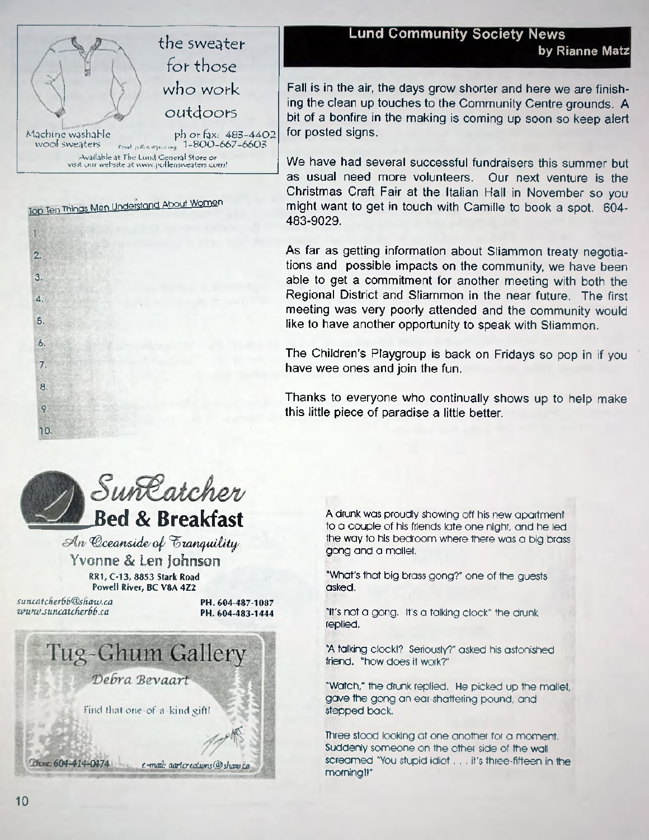

Top Ten Things Men Understand About Women

2..

T.

**'3.**

'4.

5.

6.

 $7.$ 

 $8$ 

 $\overline{9}$ 

10.

**Lund Community Society News** the sweater<br>by Rianne Matz

> Fall is in the air, the days grow shorter and here we are finishing the clean up touches to the Community Centre grounds. A bit of a bonfire in the making is coming up soon so keep alert for posted signs.

> We have had several successful fundraisers this summer but as usual need more volunteers. Our next venture is the Christmas Craft Fair at the Italian Hall in November so you might want to get in touch with Camille to book a spot. 604- 483-9029.

> As far as getting information about Sliammon treaty negotiations and possible impacts on the community, we have been able to get a commitment for another meeting with both the Regional District and Sliammon in the near future. The first meeting was very poorly attended and the community would like to have another opportunity to speak with Sliammon.

> The Children's Playgroup is back on Fridays so pop in if you have wee ones and join the fun.

> Thanks to everyone who continually shows up to help make this little piece of paradise a little better.



 $An$  *Cceanside of Franquility* **Yvonne & Len johnson RR1, C-13, 8853 Stark Road Powell River, BC V8A 4Z2**

*[suncatcher6b@shaw.ca](mailto:suncatcher6b@shaw.ca)* **PH. 604-487-1087**

*wwwjuncatcherbb.ca* **PH. 604-483-1444**



A drunk was proudly showing off his new apartment to a couple of his friends late one night, and he led the way to his bedroom where there was a big brass gong and a mallet

"What's that big brass gong?" one of the guests asked.

"It's not a gong. It's a talking clock" the drunk replied.

"A tdlking clock!? Seriously?" asked his astonished friend, "how does it work?"

"Watch," the drunk replied. He picked up the mollet, gave the gong an ear-shattering pound, and stepped back.

Three stood looking at one another for a moment. Suddenly someone on the other side of the wall screamed "You stupid idiot... it's three-fifteen in the morning !!\*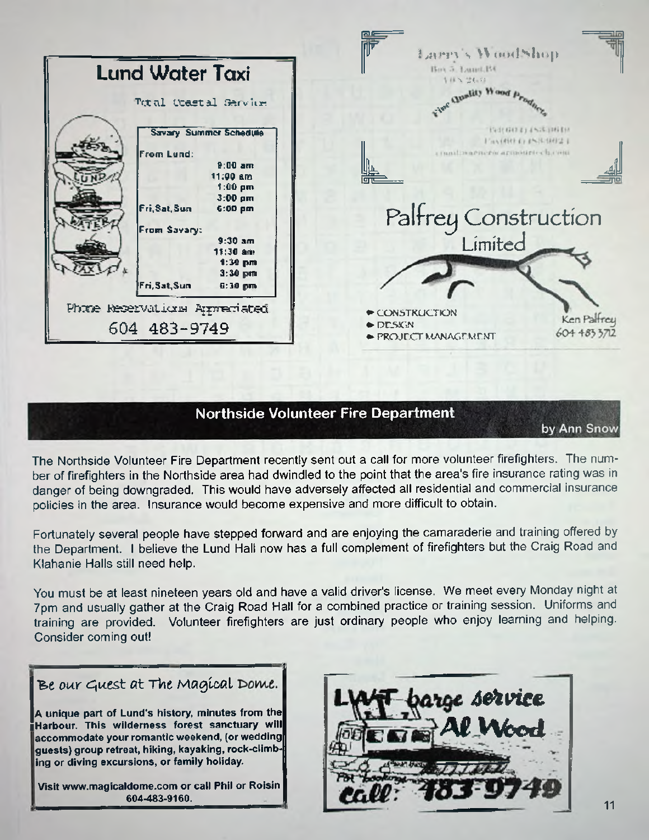|                                                            | Larry's WoodShop                                                                 |
|------------------------------------------------------------|----------------------------------------------------------------------------------|
| <b>Lund Water Taxi</b>                                     | Box 5. Lund.BC<br>4日8 世伝年                                                        |
| Total Ocastal Sarvice                                      | view Quality Wood Prog                                                           |
| <b>Savary Summer Schedule</b><br>From Lund:                | EVIDENT 214576 INGEN<br>Fax(RR) DSSMHRF<br>condiscaria rocaria directore         |
| $9:00$ am<br>11:00 am<br>$1:00~\text{pm}$<br>$3:00$ pm     |                                                                                  |
| Fri, Sat, Sun<br>6:00~pm<br>From Savary:                   | Palfrey Construction                                                             |
| $9:30$ am<br>11:30 am<br>1:30 pm<br>$3:30$ pm              |                                                                                  |
| Fri, Sat, Sun<br>6:30 pm<br>Phone Reservations Appreciated | CONSTRUCTION                                                                     |
| 604 483-9749                                               | Ken Palfrey<br>$\triangle$ DESKIN<br>604 483 3712<br><b>→ PROJECT MANAGEMENT</b> |

### **Northside Volunteer Fire Department**

by Ann Snow

The Northside Volunteer Fire Department recently sent out a call for more volunteer firefighters. The number of firefighters in the Northside area had dwindled to the point that the area's fire insurance rating was in danger of being downgraded. This would have adversely affected all residential and commercial insurance policies in the area. Insurance would become expensive and more difficult to obtain.

Fortunately several people have stepped forward and are enjoying the camaraderie and training offered by the Department. I believe the Lund Hall now has a full complement of firefighters but the Craig Road and Klahanie Halls still need help.

You must be at least nineteen years old and have a valid driver's license. We meet every Monday night at 7pm and usually gather at the Craig Road Hall for a combined practice or training session. Uniforms and training are provided. Volunteer firefighters are just ordinary people who enjoy learning and helping. Consider coming out!

| Be our Guest at The Magical Dome.                                                                                                                                                                                                                               |
|-----------------------------------------------------------------------------------------------------------------------------------------------------------------------------------------------------------------------------------------------------------------|
| A unique part of Lund's history, minutes from the<br>Harbour. This wilderness forest sanctuary will<br>accommodate your romantic weekend, (or wedding<br>∥guests) group retreat, hiking, kayaking, rock-climb-∦<br>ing or diving excursions, or family holiday. |

**Visit [www.magicaldome.com](http://www.magicaldome.com) or call Phil or Roisin**